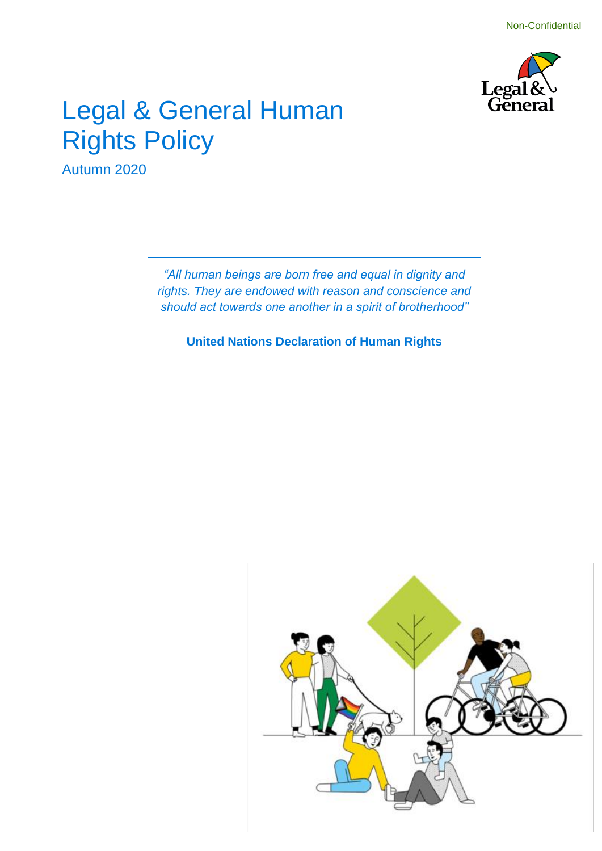

### Legal & General Human Rights Policy

Autumn 2020

*"All human beings are born free and equal in dignity and rights. They are endowed with reason and conscience and should act towards one another in a spirit of brotherhood"*

**United Nations Declaration of Human Rights**

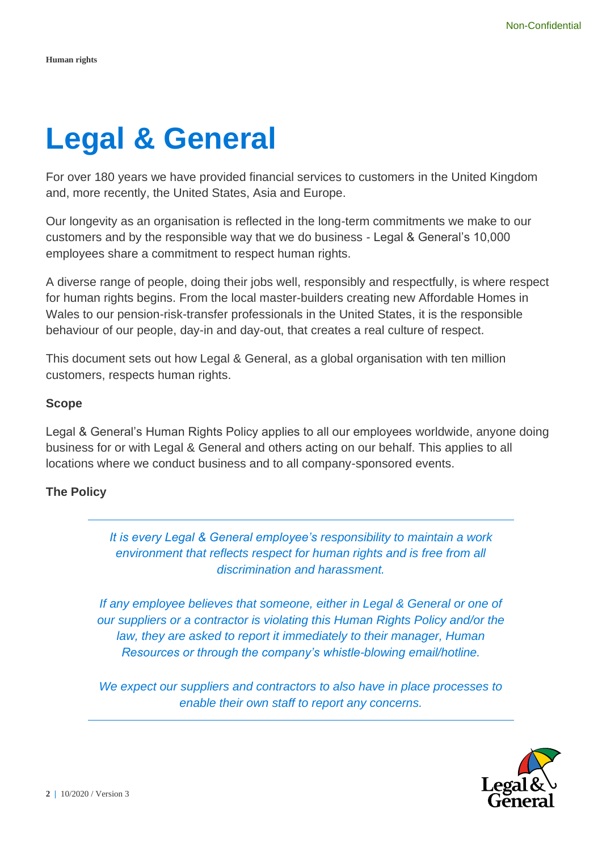## **Legal & General**

For over 180 years we have provided financial services to customers in the United Kingdom and, more recently, the United States, Asia and Europe.

Our longevity as an organisation is reflected in the long-term commitments we make to our customers and by the responsible way that we do business - Legal & General's 10,000 employees share a commitment to respect human rights.

A diverse range of people, doing their jobs well, responsibly and respectfully, is where respect for human rights begins. From the local master-builders creating new Affordable Homes in Wales to our pension-risk-transfer professionals in the United States, it is the responsible behaviour of our people, day-in and day-out, that creates a real culture of respect.

This document sets out how Legal & General, as a global organisation with ten million customers, respects human rights.

### **Scope**

Legal & General's Human Rights Policy applies to all our employees worldwide, anyone doing business for or with Legal & General and others acting on our behalf. This applies to all locations where we conduct business and to all company-sponsored events.

### **The Policy**

*It is every Legal & General employee's responsibility to maintain a work environment that reflects respect for human rights and is free from all discrimination and harassment.*

*If any employee believes that someone, either in Legal & General or one of our suppliers or a contractor is violating this Human Rights Policy and/or the*  law, they are asked to report it immediately to their manager, Human *Resources or through the company's whistle-blowing email/hotline.* 

*We expect our suppliers and contractors to also have in place processes to enable their own staff to report any concerns.*

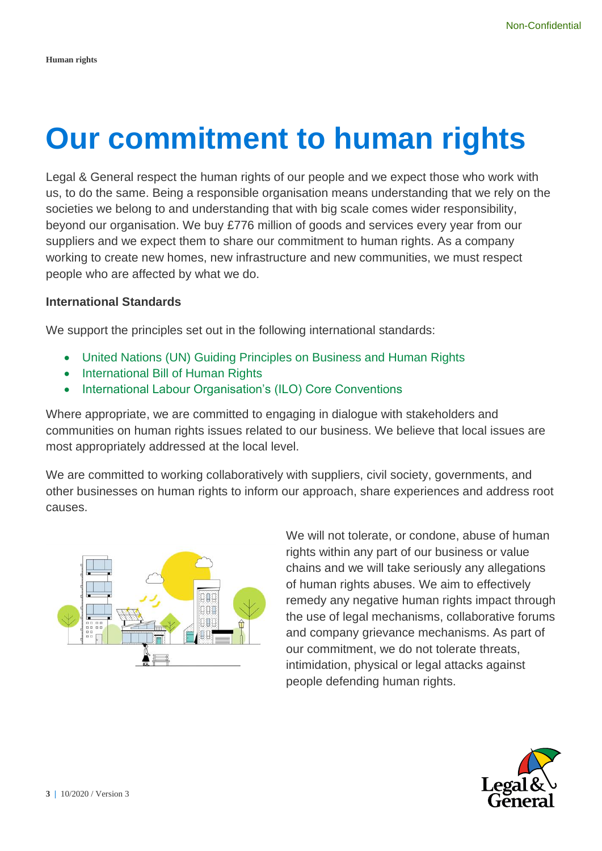## **Our commitment to human rights**

Legal & General respect the human rights of our people and we expect those who work with us, to do the same. Being a responsible organisation means understanding that we rely on the societies we belong to and understanding that with big scale comes wider responsibility, beyond our organisation. We buy £776 million of goods and services every year from our suppliers and we expect them to share our commitment to human rights. As a company working to create new homes, new infrastructure and new communities, we must respect people who are affected by what we do.

### **International Standards**

We support the principles set out in the following international standards:

- United Nations (UN) Guiding Principles on Business and Human Rights
- International Bill of Human Rights
- International Labour Organisation's (ILO) Core Conventions

Where appropriate, we are committed to engaging in dialogue with stakeholders and communities on human rights issues related to our business. We believe that local issues are most appropriately addressed at the local level.

We are committed to working collaboratively with suppliers, civil society, governments, and other businesses on human rights to inform our approach, share experiences and address root causes.



We will not tolerate, or condone, abuse of human rights within any part of our business or value chains and we will take seriously any allegations of human rights abuses. We aim to effectively remedy any negative human rights impact through the use of legal mechanisms, collaborative forums and company grievance mechanisms. As part of our commitment, we do not tolerate threats, intimidation, physical or legal attacks against people defending human rights.

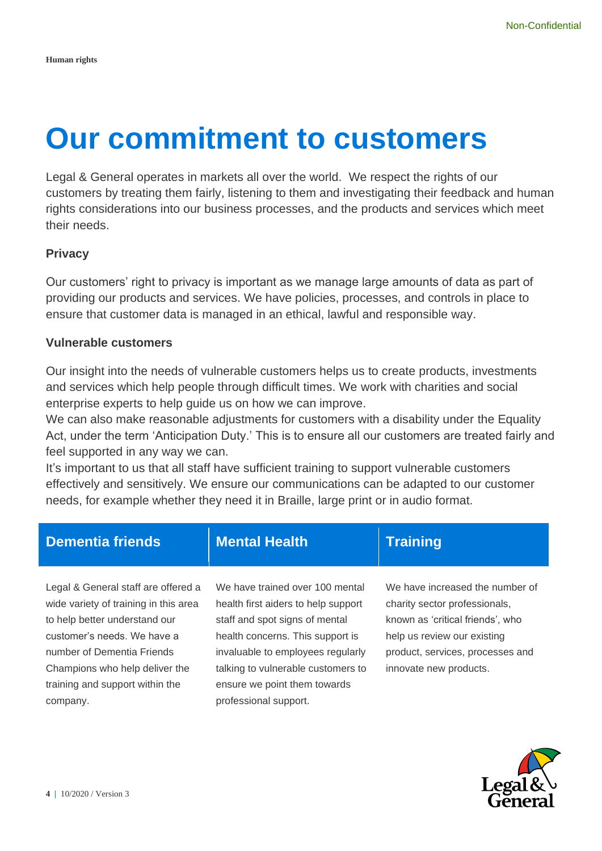### **Our commitment to customers**

Legal & General operates in markets all over the world. We respect the rights of our customers by treating them fairly, listening to them and investigating their feedback and human rights considerations into our business processes, and the products and services which meet their needs.

### **Privacy**

Our customers' right to privacy is important as we manage large amounts of data as part of providing our products and services. We have policies, processes, and controls in place to ensure that customer data is managed in an ethical, lawful and responsible way.

### **Vulnerable customers**

Our insight into the needs of vulnerable customers helps us to create products, investments and services which help people through difficult times. We work with charities and social enterprise experts to help guide us on how we can improve.

We can also make reasonable adjustments for customers with a disability under the Equality Act, under the term 'Anticipation Duty.' This is to ensure all our customers are treated fairly and feel supported in any way we can.

It's important to us that all staff have sufficient training to support vulnerable customers effectively and sensitively. We ensure our communications can be adapted to our customer needs, for example whether they need it in Braille, large print or in audio format.

| <b>Dementia friends</b>                                                                                                                                                                                                                                     | <b>Mental Health</b>                                                                                                                                                                                                                                                             | <b>Training</b>                                                                                                                                                                                   |
|-------------------------------------------------------------------------------------------------------------------------------------------------------------------------------------------------------------------------------------------------------------|----------------------------------------------------------------------------------------------------------------------------------------------------------------------------------------------------------------------------------------------------------------------------------|---------------------------------------------------------------------------------------------------------------------------------------------------------------------------------------------------|
| Legal & General staff are offered a<br>wide variety of training in this area<br>to help better understand our<br>customer's needs. We have a<br>number of Dementia Friends<br>Champions who help deliver the<br>training and support within the<br>company. | We have trained over 100 mental<br>health first aiders to help support<br>staff and spot signs of mental<br>health concerns. This support is<br>invaluable to employees regularly<br>talking to vulnerable customers to<br>ensure we point them towards<br>professional support. | We have increased the number of<br>charity sector professionals,<br>known as 'critical friends', who<br>help us review our existing<br>product, services, processes and<br>innovate new products. |

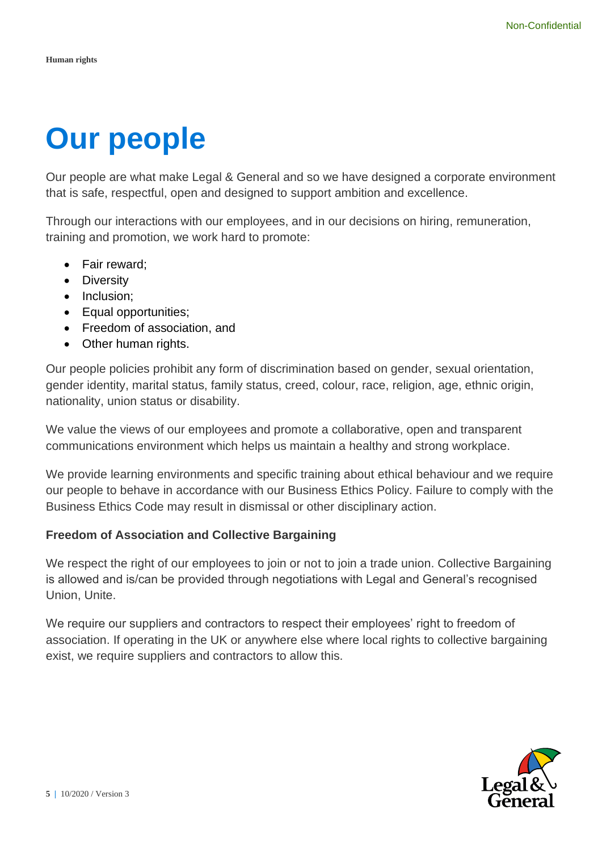# **Our people**

Our people are what make Legal & General and so we have designed a corporate environment that is safe, respectful, open and designed to support ambition and excellence.

Through our interactions with our employees, and in our decisions on hiring, remuneration, training and promotion, we work hard to promote:

- Fair reward;
- Diversity
- Inclusion:
- Equal opportunities;
- Freedom of association, and
- Other human rights.

Our people policies prohibit any form of discrimination based on gender, sexual orientation, gender identity, marital status, family status, creed, colour, race, religion, age, ethnic origin, nationality, union status or disability.

We value the views of our employees and promote a collaborative, open and transparent communications environment which helps us maintain a healthy and strong workplace.

We provide learning environments and specific training about ethical behaviour and we require our people to behave in accordance with our Business Ethics Policy. Failure to comply with the Business Ethics Code may result in dismissal or other disciplinary action.

### **Freedom of Association and Collective Bargaining**

We respect the right of our employees to join or not to join a trade union. Collective Bargaining is allowed and is/can be provided through negotiations with Legal and General's recognised Union, Unite.

We require our suppliers and contractors to respect their employees' right to freedom of association. If operating in the UK or anywhere else where local rights to collective bargaining exist, we require suppliers and contractors to allow this.

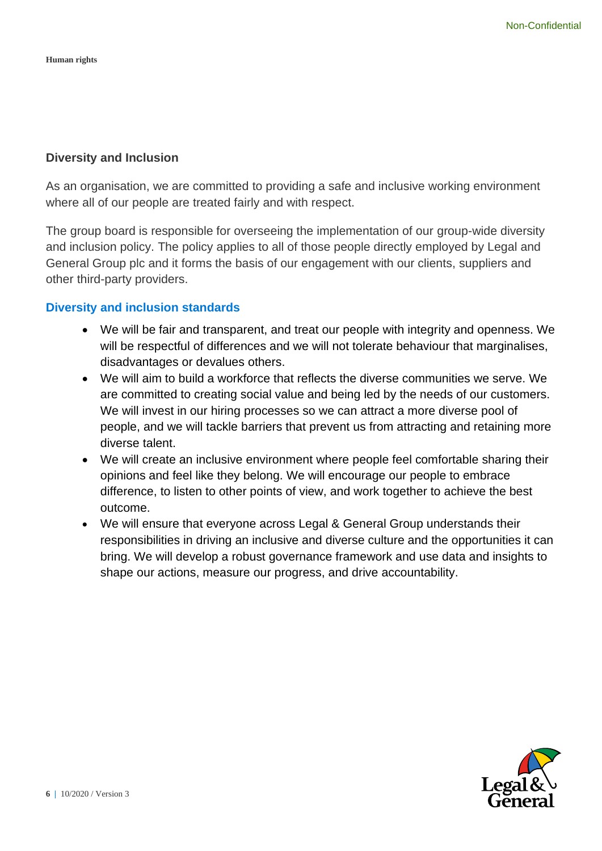### **Diversity and Inclusion**

As an organisation, we are committed to providing a safe and inclusive working environment where all of our people are treated fairly and with respect.

The group board is responsible for overseeing the implementation of our group-wide diversity and inclusion policy. The policy applies to all of those people directly employed by Legal and General Group plc and it forms the basis of our engagement with our clients, suppliers and other third-party providers.

### **Diversity and inclusion standards**

- We will be fair and transparent, and treat our people with integrity and openness. We will be respectful of differences and we will not tolerate behaviour that marginalises, disadvantages or devalues others.
- We will aim to build a workforce that reflects the diverse communities we serve. We are committed to creating social value and being led by the needs of our customers. We will invest in our hiring processes so we can attract a more diverse pool of people, and we will tackle barriers that prevent us from attracting and retaining more diverse talent.
- We will create an inclusive environment where people feel comfortable sharing their opinions and feel like they belong. We will encourage our people to embrace difference, to listen to other points of view, and work together to achieve the best outcome.
- We will ensure that everyone across Legal & General Group understands their responsibilities in driving an inclusive and diverse culture and the opportunities it can bring. We will develop a robust governance framework and use data and insights to shape our actions, measure our progress, and drive accountability.

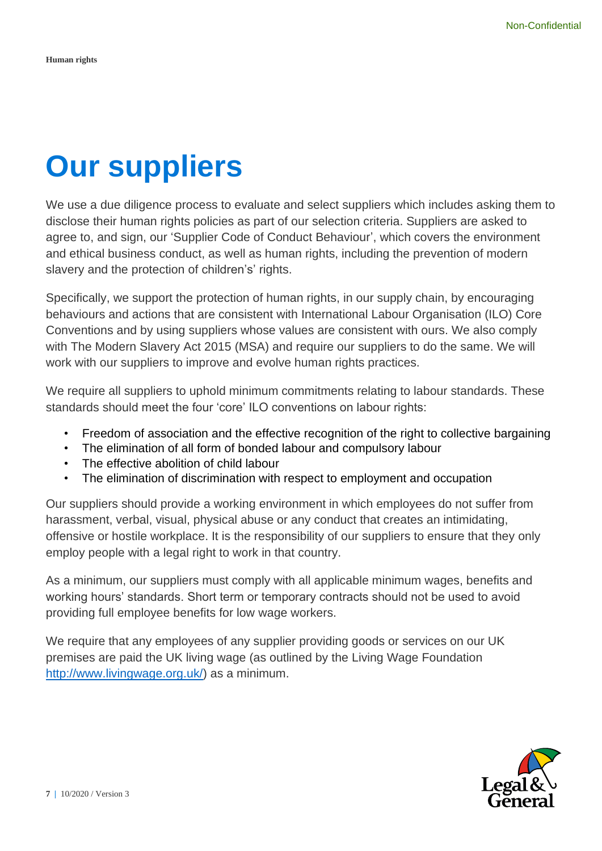### **Our suppliers**

We use a due diligence process to evaluate and select suppliers which includes asking them to disclose their human rights policies as part of our selection criteria. Suppliers are asked to agree to, and sign, our 'Supplier Code of Conduct Behaviour', which covers the environment and ethical business conduct, as well as human rights, including the prevention of modern slavery and the protection of children's' rights.

Specifically, we support the protection of human rights, in our supply chain, by encouraging behaviours and actions that are consistent with International Labour Organisation (ILO) Core Conventions and by using suppliers whose values are consistent with ours. We also comply with The Modern Slavery Act 2015 (MSA) and require our suppliers to do the same. We will work with our suppliers to improve and evolve human rights practices.

We require all suppliers to uphold minimum commitments relating to labour standards. These standards should meet the four 'core' ILO conventions on labour rights:

- Freedom of association and the effective recognition of the right to collective bargaining
- The elimination of all form of bonded labour and compulsory labour
- The effective abolition of child labour
- The elimination of discrimination with respect to employment and occupation

Our suppliers should provide a working environment in which employees do not suffer from harassment, verbal, visual, physical abuse or any conduct that creates an intimidating, offensive or hostile workplace. It is the responsibility of our suppliers to ensure that they only employ people with a legal right to work in that country.

As a minimum, our suppliers must comply with all applicable minimum wages, benefits and working hours' standards. Short term or temporary contracts should not be used to avoid providing full employee benefits for low wage workers.

We require that any employees of any supplier providing goods or services on our UK premises are paid the UK living wage (as outlined by the Living Wage Foundation [http://www.livingwage.org.uk/\)](http://www.livingwage.org.uk/) as a minimum.

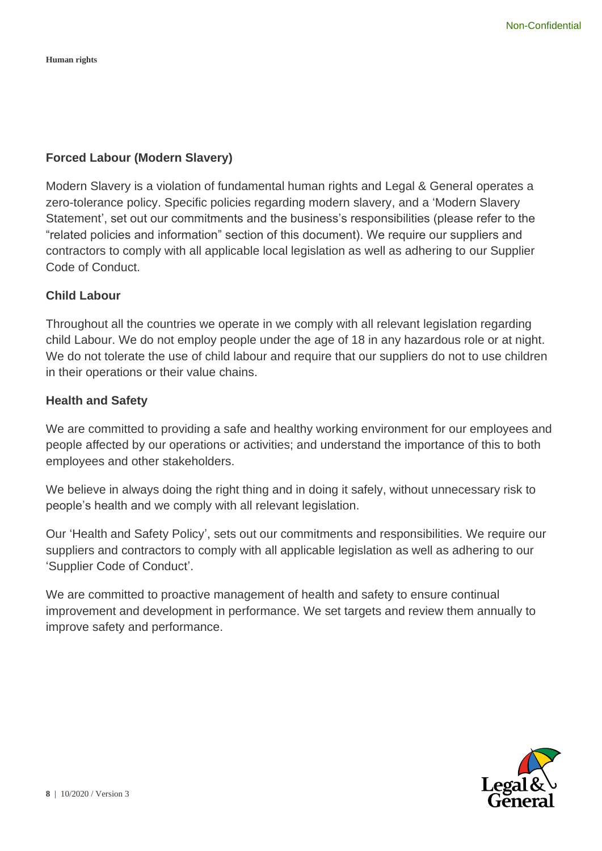**Human rights**

### **Forced Labour (Modern Slavery)**

Modern Slavery is a violation of fundamental human rights and Legal & General operates a zero-tolerance policy. Specific policies regarding modern slavery, and a 'Modern Slavery Statement', set out our commitments and the business's responsibilities (please refer to the "related policies and information" section of this document). We require our suppliers and contractors to comply with all applicable local legislation as well as adhering to our Supplier Code of Conduct.

### **Child Labour**

Throughout all the countries we operate in we comply with all relevant legislation regarding child Labour. We do not employ people under the age of 18 in any hazardous role or at night. We do not tolerate the use of child labour and require that our suppliers do not to use children in their operations or their value chains.

### **Health and Safety**

We are committed to providing a safe and healthy working environment for our employees and people affected by our operations or activities; and understand the importance of this to both employees and other stakeholders.

We believe in always doing the right thing and in doing it safely, without unnecessary risk to people's health and we comply with all relevant legislation.

Our 'Health and Safety Policy', sets out our commitments and responsibilities. We require our suppliers and contractors to comply with all applicable legislation as well as adhering to our 'Supplier Code of Conduct'.

We are committed to proactive management of health and safety to ensure continual improvement and development in performance. We set targets and review them annually to improve safety and performance.

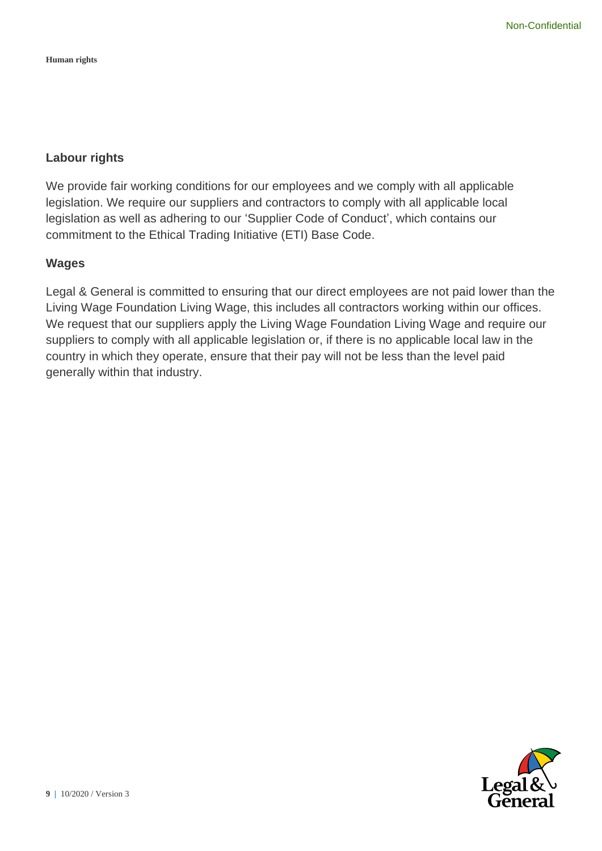**Human rights**

### **Labour rights**

We provide fair working conditions for our employees and we comply with all applicable legislation. We require our suppliers and contractors to comply with all applicable local legislation as well as adhering to our 'Supplier Code of Conduct', which contains our commitment to the Ethical Trading Initiative (ETI) Base Code.

### **Wages**

Legal & General is committed to ensuring that our direct employees are not paid lower than the Living Wage Foundation Living Wage, this includes all contractors working within our offices. We request that our suppliers apply the Living Wage Foundation Living Wage and require our suppliers to comply with all applicable legislation or, if there is no applicable local law in the country in which they operate, ensure that their pay will not be less than the level paid generally within that industry.

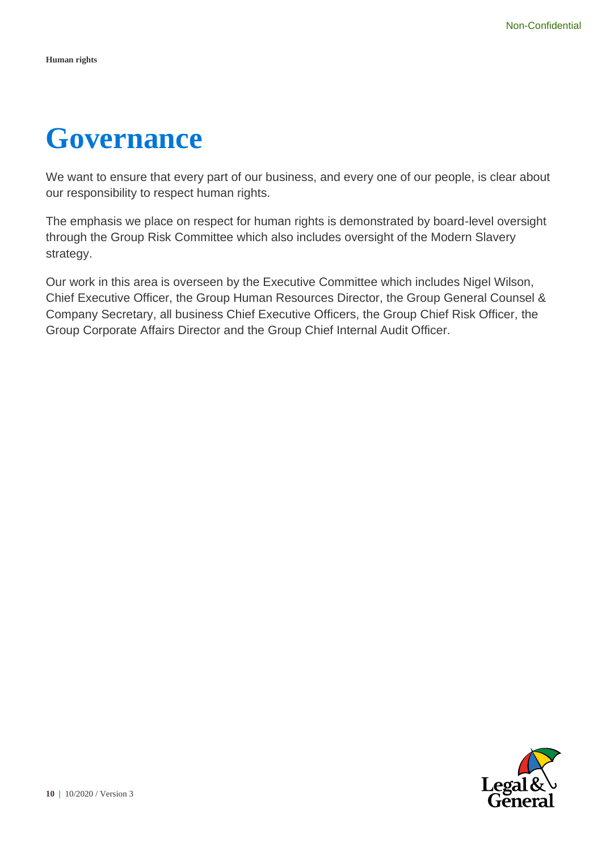### **Governance**

We want to ensure that every part of our business, and every one of our people, is clear about our responsibility to respect human rights.

The emphasis we place on respect for human rights is demonstrated by board-level oversight through the Group Risk Committee which also includes oversight of the Modern Slavery strategy.

Our work in this area is overseen by the Executive Committee which includes Nigel Wilson, Chief Executive Officer, the Group Human Resources Director, the Group General Counsel & Company Secretary, all business Chief Executive Officers, the Group Chief Risk Officer, the Group Corporate Affairs Director and the Group Chief Internal Audit Officer.

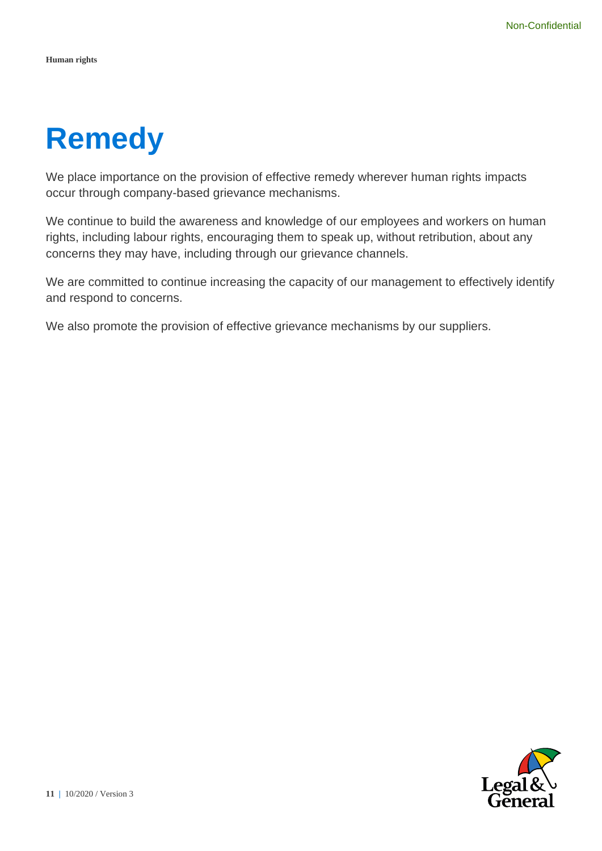## **Remedy**

We place importance on the provision of effective remedy wherever human rights impacts occur through company-based grievance mechanisms.

We continue to build the awareness and knowledge of our employees and workers on human rights, including labour rights, encouraging them to speak up, without retribution, about any concerns they may have, including through our grievance channels.

We are committed to continue increasing the capacity of our management to effectively identify and respond to concerns.

We also promote the provision of effective grievance mechanisms by our suppliers.